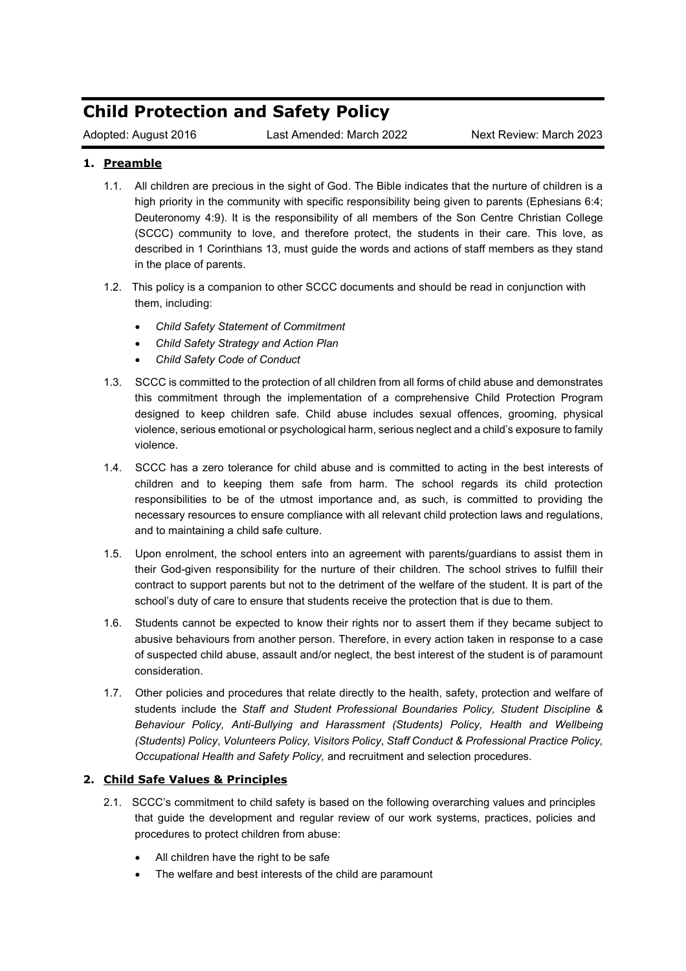# **Child Protection and Safety Policy**

Adopted: August 2016 Last Amended: March 2022 Next Review: March 2023

# **1. Preamble**

- 1.1. All children are precious in the sight of God. The Bible indicates that the nurture of children is a high priority in the community with specific responsibility being given to parents (Ephesians 6:4; Deuteronomy 4:9). It is the responsibility of all members of the Son Centre Christian College (SCCC) community to love, and therefore protect, the students in their care. This love, as described in 1 Corinthians 13, must guide the words and actions of staff members as they stand in the place of parents.
- 1.2. This policy is a companion to other SCCC documents and should be read in conjunction with them, including:
	- *Child Safety Statement of Commitment*
	- *Child Safety Strategy and Action Plan*
	- *Child Safety Code of Conduct*
- 1.3. SCCC is committed to the protection of all children from all forms of child abuse and demonstrates this commitment through the implementation of a comprehensive Child Protection Program designed to keep children safe. Child abuse includes sexual offences, grooming, physical violence, serious emotional or psychological harm, serious neglect and a child's exposure to family violence.
- 1.4. SCCC has a zero tolerance for child abuse and is committed to acting in the best interests of children and to keeping them safe from harm. The school regards its child protection responsibilities to be of the utmost importance and, as such, is committed to providing the necessary resources to ensure compliance with all relevant child protection laws and regulations, and to maintaining a child safe culture.
- 1.5. Upon enrolment, the school enters into an agreement with parents/guardians to assist them in their God-given responsibility for the nurture of their children. The school strives to fulfill their contract to support parents but not to the detriment of the welfare of the student. It is part of the school's duty of care to ensure that students receive the protection that is due to them.
- 1.6. Students cannot be expected to know their rights nor to assert them if they became subject to abusive behaviours from another person. Therefore, in every action taken in response to a case of suspected child abuse, assault and/or neglect, the best interest of the student is of paramount consideration.
- 1.7. Other policies and procedures that relate directly to the health, safety, protection and welfare of students include the *Staff and Student Professional Boundaries Policy, Student Discipline & Behaviour Policy, Anti-Bullying and Harassment (Students) Policy, Health and Wellbeing (Students) Policy*, *Volunteers Policy, Visitors Policy*, *Staff Conduct & Professional Practice Policy, Occupational Health and Safety Policy,* and recruitment and selection procedures.

# **2. Child Safe Values & Principles**

- 2.1. SCCC's commitment to child safety is based on the following overarching values and principles that guide the development and regular review of our work systems, practices, policies and procedures to protect children from abuse:
	- All children have the right to be safe
	- The welfare and best interests of the child are paramount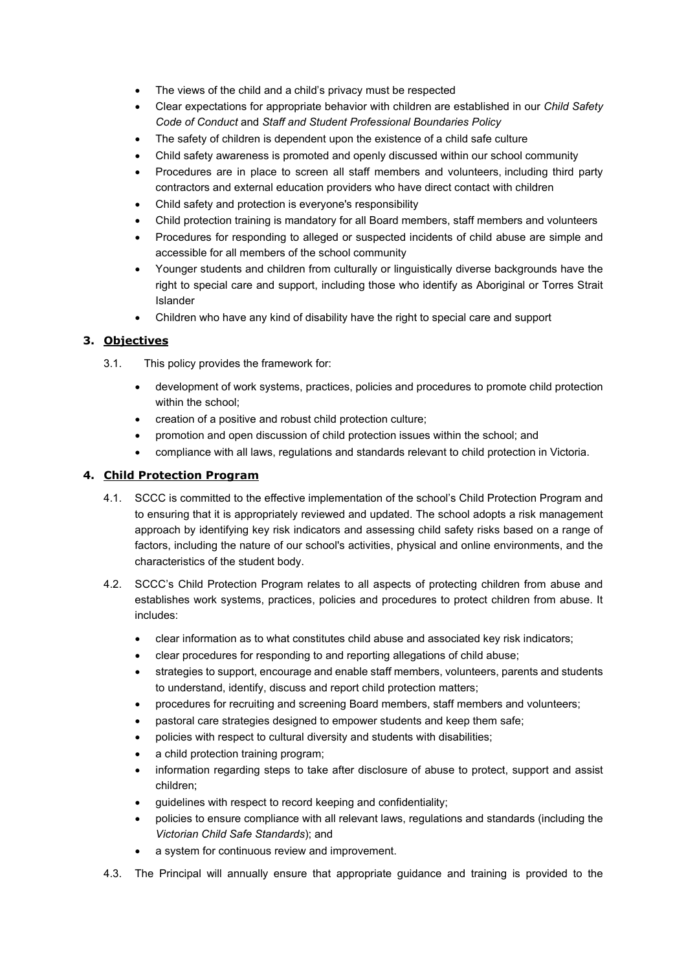- The views of the child and a child's privacy must be respected
- Clear expectations for appropriate behavior with children are established in our *Child Safety Code of Conduct* and *Staff and Student Professional Boundaries Policy*
- The safety of children is dependent upon the existence of a child safe culture
- Child safety awareness is promoted and openly discussed within our school community
- Procedures are in place to screen all staff members and [volunteers,](https://childprotection.cspace.net.au/VolunteerManagementVIC) including third party contractors and external education providers who have direct contact with children
- Child safety and protection is everyone's responsibility
- Child protection training is mandatory for all Board members, staff members and volunteers
- Procedures for responding to alleged or suspected incidents of child abuse are simple and accessible for all members of the school community
- Younger students and children from culturally or linguistically diverse backgrounds have the right to special care and support, including those who identify as Aboriginal or Torres Strait Islander
- Children who have any kind of disability have the right to special care and support

# **3. Objectives**

- 3.1. This policy provides the framework for:
	- development of work systems, practices, policies and procedures to promote child protection within the school;
	- creation of a positive and robust child protection culture;
	- promotion and open discussion of child protection issues within the school; and
	- compliance with all laws, regulations and standards relevant to child protection in Victoria.

## **4. Child Protection Program**

- 4.1. SCCC is committed to the effective implementation of the school's Child Protection Program and to ensuring that it is appropriately reviewed and updated. The school adopts a risk management approach by identifying key risk indicators and assessing child safety risks based on a range of factors, including the nature of our school's activities, physical and online environments, and the characteristics of the student body.
- 4.2. SCCC's Child Protection Program relates to all aspects of protecting children from abuse and establishes work systems, practices, policies and procedures to protect children from abuse. It includes:
	- clear information as to what constitutes child abuse and associated key risk indicators;
	- clear procedures for responding to and reporting allegations of child abuse;
	- strategies to support, encourage and enable staff members, volunteers, parents and students to understand, identify, discuss and report child protection matters;
	- procedures for recruiting and screening Board members, staff members and volunteers;
	- pastoral care strategies designed to empower students and keep them safe;
	- policies with respect to cultural diversity and students with disabilities;
	- a child protection training program;
	- information regarding steps to take after disclosure of abuse to protect, support and assist children;
	- guidelines with respect to record keeping and confidentiality;
	- policies to ensure compliance with all relevant laws, regulations and standards (including the *Victorian Child Safe Standards*); and
	- a system for continuous review and improvement.
- 4.3. The Principal will annually ensure that appropriate guidance and training is provided to the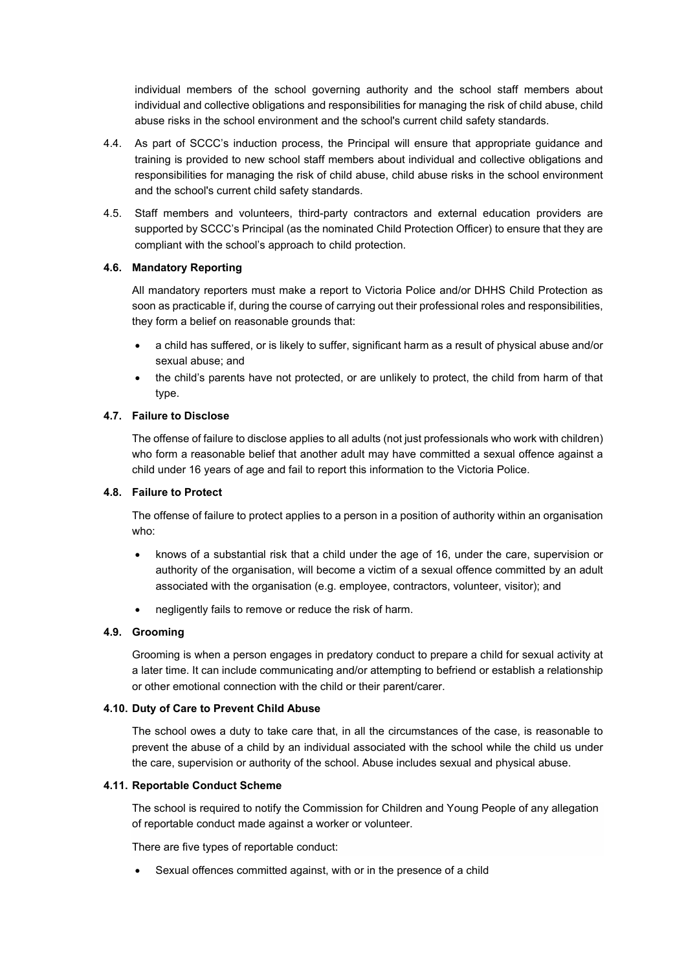individual members of the school governing authority and the school staff members about individual and collective obligations and responsibilities for managing the risk of child abuse, child abuse risks in the school environment and the school's current child safety standards.

- 4.4. As part of SCCC's induction process, the Principal will ensure that appropriate guidance and training is provided to new school staff members about individual and collective obligations and responsibilities for managing the risk of child abuse, child abuse risks in the school environment and the school's current child safety standards.
- 4.5. Staff members and volunteers, third-party contractors and external education providers are supported by SCCC's Principal (as the nominated [Child](https://childprotection.cspace.net.au/OurChildProtectionOfficersMakeAReport) Protection Officer) to ensure that they are compliant with the school's approach to child protection.

## **4.6. Mandatory Reporting**

All mandatory reporters must make a report to Victoria Police and/or DHHS Child Protection as soon as practicable if, during the course of carrying out their professional roles and responsibilities, they form a belief on reasonable grounds that:

- a child has suffered, or is likely to suffer, significant harm as a result of physical abuse and/or sexual abuse; and
- the child's parents have not protected, or are unlikely to protect, the child from harm of that type.

## **4.7. Failure to Disclose**

The offense of failure to disclose applies to all adults (not just professionals who work with children) who form a reasonable belief that another adult may have committed a sexual offence against a child under 16 years of age and fail to report this information to the Victoria Police.

#### **4.8. Failure to Protect**

The offense of failure to protect applies to a person in a position of authority within an organisation who:

- knows of a substantial risk that a child under the age of 16, under the care, supervision or authority of the organisation, will become a victim of a sexual offence committed by an adult associated with the organisation (e.g. employee, contractors, volunteer, visitor); and
- negligently fails to remove or reduce the risk of harm.

#### **4.9. Grooming**

Grooming is when a person engages in predatory conduct to prepare a child for sexual activity at a later time. It can include communicating and/or attempting to befriend or establish a relationship or other emotional connection with the child or their parent/carer.

#### **4.10. Duty of Care to Prevent Child Abuse**

The school owes a duty to take care that, in all the circumstances of the case, is reasonable to prevent the abuse of a child by an individual associated with the school while the child us under the care, supervision or authority of the school. Abuse includes sexual and physical abuse.

#### **4.11. Reportable Conduct Scheme**

The school is required to notify the Commission for Children and Young People of any allegation of reportable conduct made against a worker or volunteer.

There are five types of reportable conduct:

Sexual offences committed against, with or in the presence of a child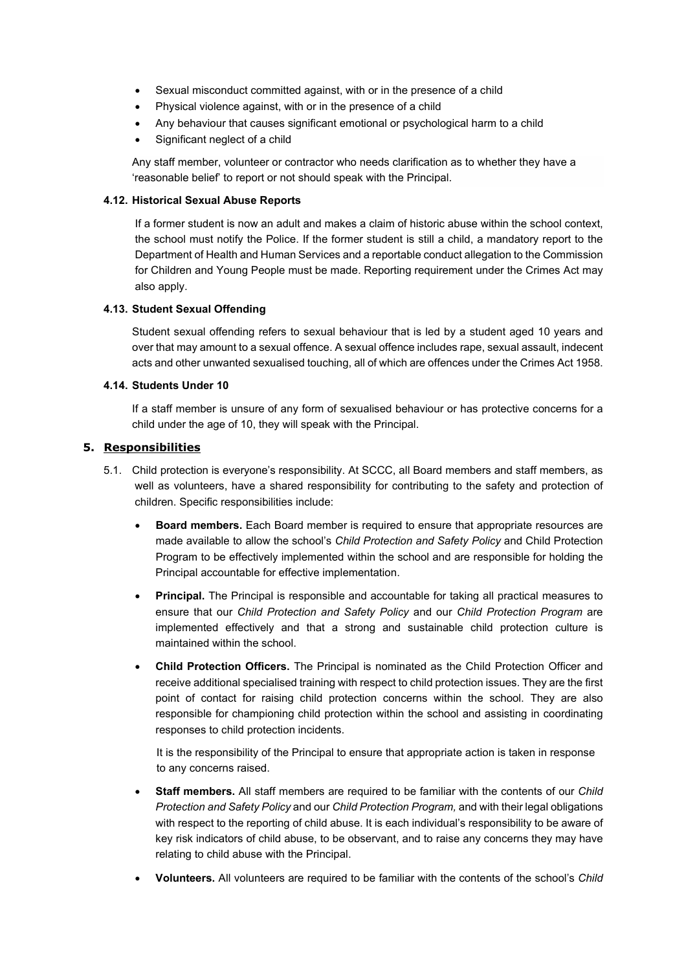- Sexual misconduct committed against, with or in the presence of a child
- Physical violence against, with or in the presence of a child
- Any behaviour that causes significant emotional or psychological harm to a child
- Significant neglect of a child

Any staff member, volunteer or contractor who needs clarification as to whether they have a 'reasonable belief' to report or not should speak with the Principal.

#### **4.12. Historical Sexual Abuse Reports**

If a former student is now an adult and makes a claim of historic abuse within the school context, the school must notify the Police. If the former student is still a child, a mandatory report to the Department of Health and Human Services and a reportable conduct allegation to the Commission for Children and Young People must be made. Reporting requirement under the Crimes Act may also apply.

#### **4.13. Student Sexual Offending**

Student sexual offending refers to sexual behaviour that is led by a student aged 10 years and over that may amount to a sexual offence. A sexual offence includes rape, sexual assault, indecent acts and other unwanted sexualised touching, all of which are offences under the Crimes Act 1958.

#### **4.14. Students Under 10**

If a staff member is unsure of any form of sexualised behaviour or has protective concerns for a child under the age of 10, they will speak with the Principal.

#### **5. Responsibilities**

- 5.1. Child protection is everyone's responsibility. At SCCC, all Board members and staff members, as well as volunteers, have a shared responsibility for contributing to the safety and protection of children. Specific responsibilities include:
	- **Board members.** Each Board member is required to ensure that appropriate resources are made available to allow the school's *Child Protection and Safety Policy* and Child Protection Program to be effectively implemented within the school and are responsible for holding the Principal accountable for effective implementation.
	- **Principal.** The Principal is responsible and accountable for taking all practical measures to ensure that our *Child Protection and Safety Policy* and our *Child Protection Program* are implemented effectively and that a strong and sustainable child protection culture is maintained within the school.
	- **Child Protection Officers.** The Principal is nominated as the Child Protection Officer and receive additional specialised training with respect to child protection issues. They are the first point of contact for raising child protection concerns within the school. They are also responsible for championing child protection within the school and assisting in coordinating responses to child protection incidents.

It is the responsibility of the Principal to ensure that appropriate action is taken in response to any concerns raised.

- **Staff members.** All staff members are required to be familiar with the contents of our *Child Protection and Safety Policy* and our *Child Protection Program,* and with their legal obligations with respect to the reporting of child abuse. It is each individual's responsibility to be aware of key risk indicators of child abuse, to be observant, and to raise any concerns they may have relating to child abuse with the Principal.
- **Volunteers.** All volunteers are required to be familiar with the contents of the school's *Child*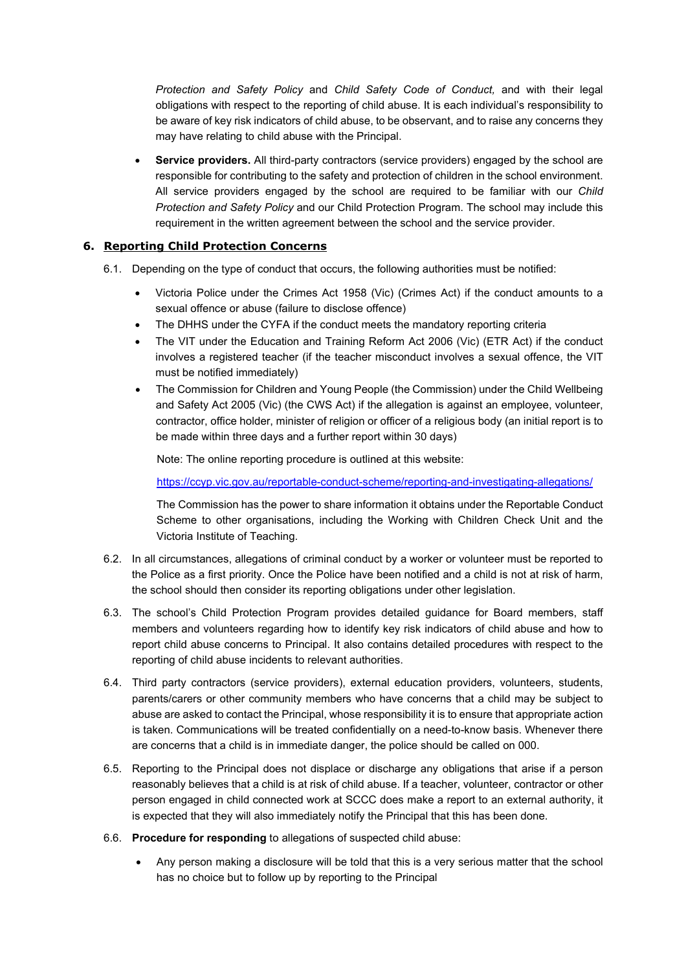*Protection and Safety Policy* and *Child Safety Code of Conduct,* and with their legal obligations with respect to the reporting of child abuse. It is each individual's responsibility to be aware of key risk indicators of child abuse, to be observant, and to raise any concerns they may have relating to child abuse with the Principal.

• **Service providers.** All third-party contractors (service providers) engaged by the school are responsible for contributing to the safety and protection of children in the school environment. All service providers engaged by the school are required to be familiar with our *Child Protection and Safety Policy* and our Child Protection Program. The school may include this requirement in the written agreement between the school and the service provider.

# **6. Reporting Child Protection Concerns**

- 6.1. Depending on the type of conduct that occurs, the following authorities must be notified:
	- Victoria Police under the Crimes Act 1958 (Vic) (Crimes Act) if the conduct amounts to a sexual offence or abuse (failure to disclose offence)
	- The DHHS under the CYFA if the conduct meets the mandatory reporting criteria
	- The VIT under the Education and Training Reform Act 2006 (Vic) (ETR Act) if the conduct involves a registered teacher (if the teacher misconduct involves a sexual offence, the VIT must be notified immediately)
	- The Commission for Children and Young People (the Commission) under the Child Wellbeing and Safety Act 2005 (Vic) (the CWS Act) if the allegation is against an employee, volunteer, contractor, office holder, minister of religion or officer of a religious body (an initial report is to be made within three days and a further report within 30 days)

Note: The online reporting procedure is outlined at this website:

<https://ccyp.vic.gov.au/reportable-conduct-scheme/reporting-and-investigating-allegations/>

The Commission has the power to share information it obtains under the Reportable Conduct Scheme to other organisations, including the Working with Children Check Unit and the Victoria Institute of Teaching.

- 6.2. In all circumstances, allegations of criminal conduct by a worker or volunteer must be reported to the Police as a first priority. Once the Police have been notified and a child is not at risk of harm, the school should then consider its reporting obligations under other legislation.
- 6.3. The school's Child Protection Program provides detailed guidance for Board members, staff members and volunteers regarding how to identify key risk indicators of child abuse and how to report child abuse concerns to Principal. It also contains detailed procedures with respect to the reporting of child abuse incidents to relevant authorities.
- 6.4. Third party contractors (service providers), external education providers, volunteers, students, parents/carers or other community members who have concerns that a child may be subject to abuse are asked to contact the Principal, whose responsibility it is to ensure that appropriate action is taken. Communications will be treated confidentially on a need-to-know basis. Whenever there are concerns that a child is in immediate danger, the police should be called on 000.
- 6.5. Reporting to the Principal does not displace or discharge any obligations that arise if a person reasonably believes that a child is at risk of child abuse. If a teacher, volunteer, contractor or other person engaged in child connected work at SCCC does make a report to an external authority, it is expected that they will also immediately notify the Principal that this has been done.
- 6.6. **Procedure for responding** to allegations of suspected child abuse:
	- Any person making a disclosure will be told that this is a very serious matter that the school has no choice but to follow up by reporting to the Principal